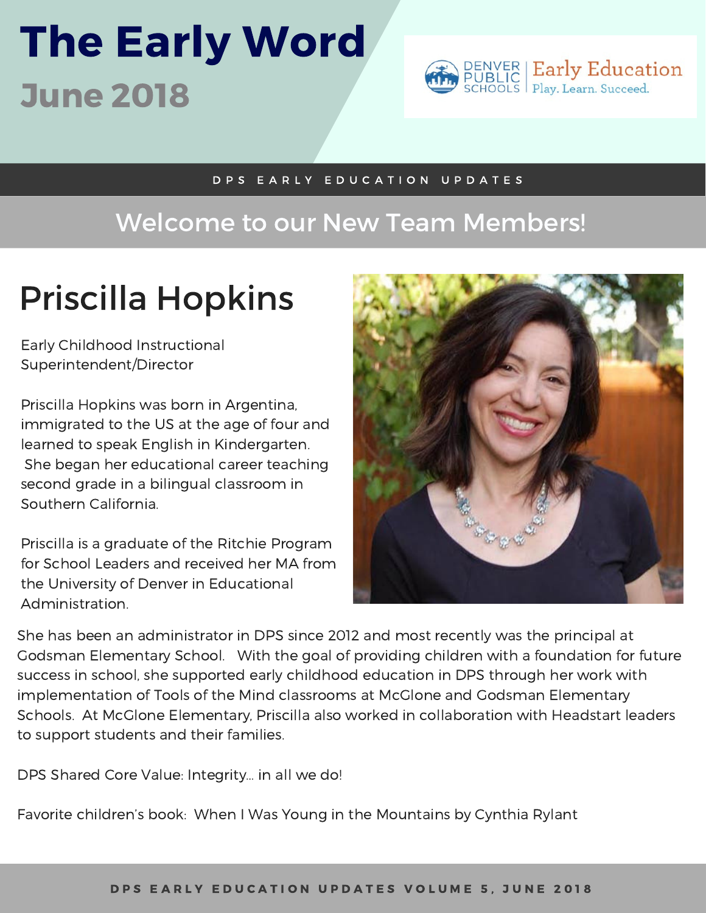# The Early Word June 2018



#### D P S E A R L Y E D U C A T I O N U P D A T E S

### Welcome to our New Team Members!

## Priscilla Hopkins

Early Childhood Instructional Superintendent/Director

Priscilla Hopkins was born in Argentina, immigrated to the US at the age of four and learned to speak English in Kindergarten. She began her educational career teaching second grade in a bilingual classroom in Southern California.

Priscilla is a graduate of the Ritchie Program for School Leaders and received her MA from the University of Denver in Educational Administration.



She has been an administrator in DPS since 2012 and most recently was the principal at Godsman Elementary School. With the goal of providing children with a foundation for future success in school, she supported early childhood education in DPS through her work with implementation of Tools of the Mind classrooms at McGlone and Godsman Elementary Schools. At McGlone Elementary, Priscilla also worked in collaboration with Headstart leaders to support students and their families.

DPS Shared Core Value: Integrity… in all we do!

Favorite children's book: When I Was Young in the Mountains by Cynthia Rylant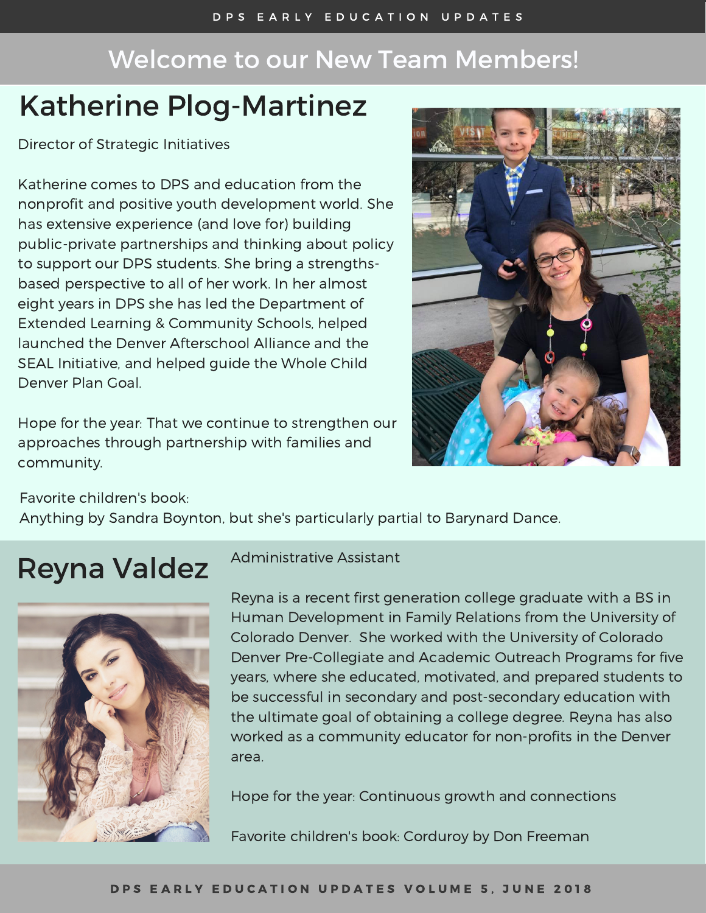### Welcome to our New Team Members!

### Katherine Plog-Martinez

Director of Strategic Initiatives

Katherine comes to DPS and education from the nonprofit and positive youth development world. She has extensive experience (and love for) building public-private partnerships and thinking about policy to support our DPS students. She bring a strengthsbased perspective to all of her work. In her almost eight years in DPS she has led the Department of Extended Learning & Community Schools, helped launched the Denver Afterschool Alliance and the SEAL Initiative, and helped guide the Whole Child Denver Plan Goal.

Hope for the year: That we continue to strengthen our approaches through partnership with families and community.



Favorite children's book:

Anything by Sandra Boynton, but she's particularly partial to Barynard Dance.

### Reyna Valdez



Administrative Assistant

Reyna is a recent first generation college graduate with a BS in Human Development in Family Relations from the University of Colorado Denver. She worked with the University of Colorado Denver Pre-Collegiate and Academic Outreach Programs for five years, where she educated, motivated, and prepared students to be successful in secondary and post-secondary education with the ultimate goal of obtaining a college degree. Reyna has also worked as a community educator for non-profits in the Denver area.

Hope for the year: Continuous growth and connections

Favorite children's book: Corduroy by Don Freeman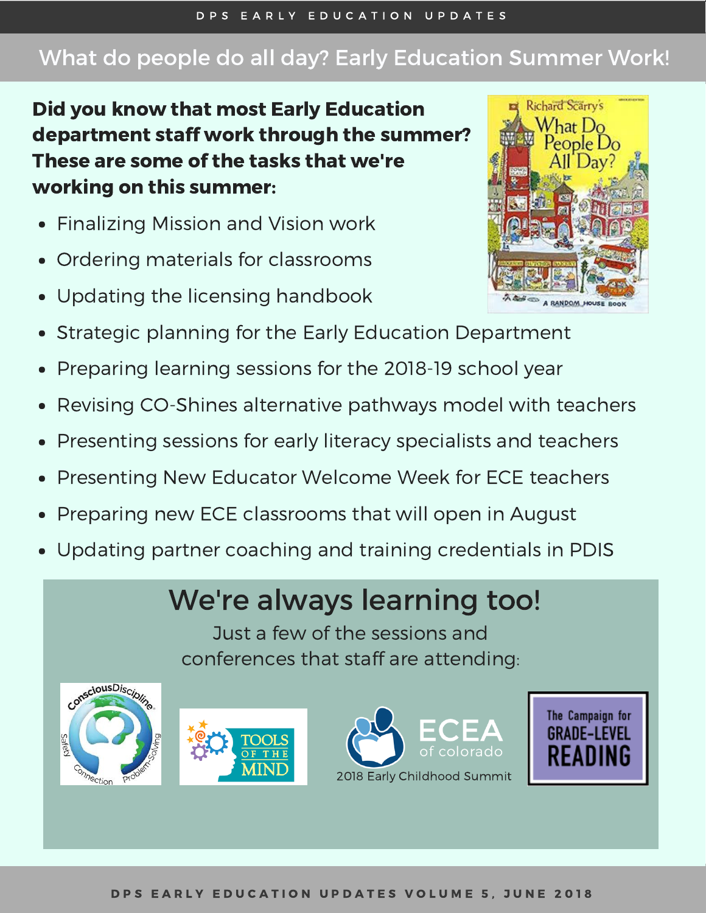2018 Early Childhood Summit

### What do people do all day? Early Education Summer Work!

Did you know that most Early Education department staff work through the summer? These are some of the tasks that we're working on this summer:

- Finalizing Mission and Vision work
- Ordering materials for classrooms
- Updating the licensing handbook
- Strategic planning for the Early Education Department
- Preparing learning sessions for the 2018-19 school year
- Revising CO-Shines alternative pathways model with teachers
- Presenting sessions for early literacy specialists and teachers
- Presenting New Educator Welcome Week for ECE teachers
- Preparing new ECE classrooms that will open in August

 $THH$ 

Updating partner coaching and training credentials in PDIS

## We're always learning too!

Just a few of the sessions and conferences that staff are attending: